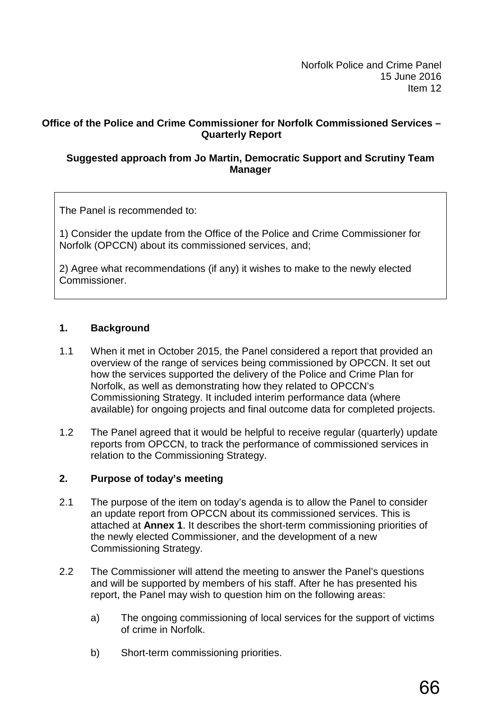Norfolk Police and Crime Panel 15 June 2016 Item 12

## **Office of the Police and Crime Commissioner for Norfolk Commissioned Services – Quarterly Report**

## **Suggested approach from Jo Martin, Democratic Support and Scrutiny Team Manager**

The Panel is recommended to:

1) Consider the update from the Office of the Police and Crime Commissioner for Norfolk (OPCCN) about its commissioned services, and;

2) Agree what recommendations (if any) it wishes to make to the newly elected Commissioner.

## **1. Background**

- 1.1 When it met in October 2015, the Panel considered a report that provided an overview of the range of services being commissioned by OPCCN. It set out how the services supported the delivery of the Police and Crime Plan for Norfolk, as well as demonstrating how they related to OPCCN's Commissioning Strategy. It included interim performance data (where available) for ongoing projects and final outcome data for completed projects.
- 1.2 The Panel agreed that it would be helpful to receive regular (quarterly) update reports from OPCCN, to track the performance of commissioned services in relation to the Commissioning Strategy.

#### **2. Purpose of today's meeting**

- 2.1 The purpose of the item on today's agenda is to allow the Panel to consider an update report from OPCCN about its commissioned services. This is attached at **Annex 1**. It describes the short-term commissioning priorities of the newly elected Commissioner, and the development of a new Commissioning Strategy.
- 2.2 The Commissioner will attend the meeting to answer the Panel's questions and will be supported by members of his staff. After he has presented his report, the Panel may wish to question him on the following areas:
	- a) The ongoing commissioning of local services for the support of victims of crime in Norfolk.
	- b) Short-term commissioning priorities.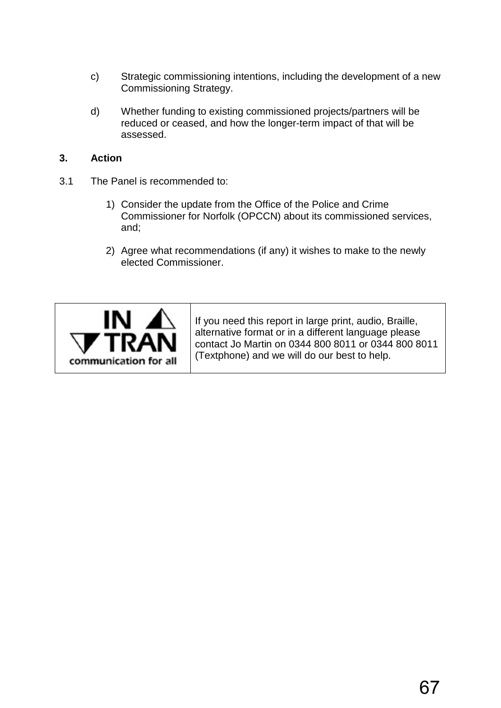- c) Strategic commissioning intentions, including the development of a new Commissioning Strategy.
- d) Whether funding to existing commissioned projects/partners will be reduced or ceased, and how the longer-term impact of that will be assessed.

# **3. Action**

- 3.1 The Panel is recommended to:
	- 1) Consider the update from the Office of the Police and Crime Commissioner for Norfolk (OPCCN) about its commissioned services, and;
	- 2) Agree what recommendations (if any) it wishes to make to the newly elected Commissioner.



If you need this report in large print, audio, Braille, alternative format or in a different language please contact Jo Martin on 0344 800 8011 or 0344 800 8011 (Textphone) and we will do our best to help.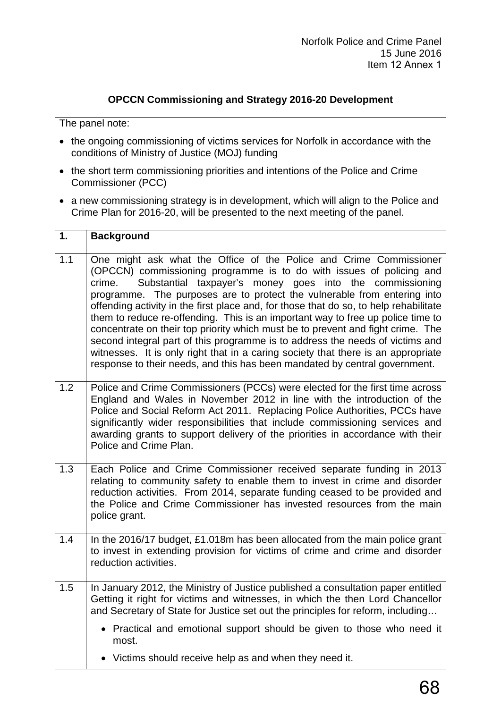## **OPCCN Commissioning and Strategy 2016-20 Development**

The panel note:

- the ongoing commissioning of victims services for Norfolk in accordance with the conditions of Ministry of Justice (MOJ) funding
- the short term commissioning priorities and intentions of the Police and Crime Commissioner (PCC)
- a new commissioning strategy is in development, which will align to the Police and Crime Plan for 2016-20, will be presented to the next meeting of the panel.

| 1.  | <b>Background</b>                                                                                                                                                                                                                                                                                                                                                                                                                                                                                                                                                                                                                                                                                                                                                                                               |
|-----|-----------------------------------------------------------------------------------------------------------------------------------------------------------------------------------------------------------------------------------------------------------------------------------------------------------------------------------------------------------------------------------------------------------------------------------------------------------------------------------------------------------------------------------------------------------------------------------------------------------------------------------------------------------------------------------------------------------------------------------------------------------------------------------------------------------------|
| 1.1 | One might ask what the Office of the Police and Crime Commissioner<br>(OPCCN) commissioning programme is to do with issues of policing and<br>Substantial taxpayer's money goes into the commissioning<br>crime.<br>programme. The purposes are to protect the vulnerable from entering into<br>offending activity in the first place and, for those that do so, to help rehabilitate<br>them to reduce re-offending. This is an important way to free up police time to<br>concentrate on their top priority which must be to prevent and fight crime. The<br>second integral part of this programme is to address the needs of victims and<br>witnesses. It is only right that in a caring society that there is an appropriate<br>response to their needs, and this has been mandated by central government. |
| 1.2 | Police and Crime Commissioners (PCCs) were elected for the first time across<br>England and Wales in November 2012 in line with the introduction of the<br>Police and Social Reform Act 2011. Replacing Police Authorities, PCCs have<br>significantly wider responsibilities that include commissioning services and<br>awarding grants to support delivery of the priorities in accordance with their<br>Police and Crime Plan.                                                                                                                                                                                                                                                                                                                                                                               |
| 1.3 | Each Police and Crime Commissioner received separate funding in 2013<br>relating to community safety to enable them to invest in crime and disorder<br>reduction activities. From 2014, separate funding ceased to be provided and<br>the Police and Crime Commissioner has invested resources from the main<br>police grant.                                                                                                                                                                                                                                                                                                                                                                                                                                                                                   |
| 1.4 | In the 2016/17 budget, £1.018m has been allocated from the main police grant<br>to invest in extending provision for victims of crime and crime and disorder<br>reduction activities.                                                                                                                                                                                                                                                                                                                                                                                                                                                                                                                                                                                                                           |
| 1.5 | In January 2012, the Ministry of Justice published a consultation paper entitled<br>Getting it right for victims and witnesses, in which the then Lord Chancellor<br>and Secretary of State for Justice set out the principles for reform, including                                                                                                                                                                                                                                                                                                                                                                                                                                                                                                                                                            |
|     | Practical and emotional support should be given to those who need it<br>most.                                                                                                                                                                                                                                                                                                                                                                                                                                                                                                                                                                                                                                                                                                                                   |
|     | Victims should receive help as and when they need it.                                                                                                                                                                                                                                                                                                                                                                                                                                                                                                                                                                                                                                                                                                                                                           |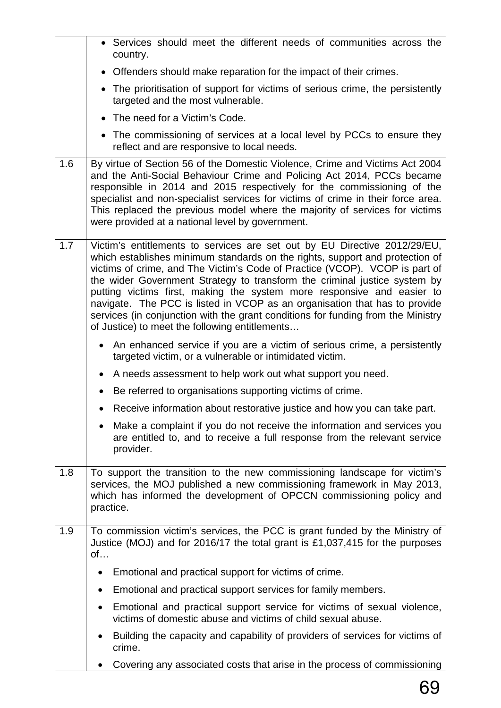|     | • Services should meet the different needs of communities across the<br>country.                                                                                                                                                                                                                                                                                                                                                                                                                                                                                                                                    |
|-----|---------------------------------------------------------------------------------------------------------------------------------------------------------------------------------------------------------------------------------------------------------------------------------------------------------------------------------------------------------------------------------------------------------------------------------------------------------------------------------------------------------------------------------------------------------------------------------------------------------------------|
|     | • Offenders should make reparation for the impact of their crimes.                                                                                                                                                                                                                                                                                                                                                                                                                                                                                                                                                  |
|     | • The prioritisation of support for victims of serious crime, the persistently<br>targeted and the most vulnerable.                                                                                                                                                                                                                                                                                                                                                                                                                                                                                                 |
|     | • The need for a Victim's Code.                                                                                                                                                                                                                                                                                                                                                                                                                                                                                                                                                                                     |
|     | • The commissioning of services at a local level by PCCs to ensure they<br>reflect and are responsive to local needs.                                                                                                                                                                                                                                                                                                                                                                                                                                                                                               |
| 1.6 | By virtue of Section 56 of the Domestic Violence, Crime and Victims Act 2004<br>and the Anti-Social Behaviour Crime and Policing Act 2014, PCCs became<br>responsible in 2014 and 2015 respectively for the commissioning of the<br>specialist and non-specialist services for victims of crime in their force area.<br>This replaced the previous model where the majority of services for victims<br>were provided at a national level by government.                                                                                                                                                             |
| 1.7 | Victim's entitlements to services are set out by EU Directive 2012/29/EU,<br>which establishes minimum standards on the rights, support and protection of<br>victims of crime, and The Victim's Code of Practice (VCOP). VCOP is part of<br>the wider Government Strategy to transform the criminal justice system by<br>putting victims first, making the system more responsive and easier to<br>navigate. The PCC is listed in VCOP as an organisation that has to provide<br>services (in conjunction with the grant conditions for funding from the Ministry<br>of Justice) to meet the following entitlements |
|     | An enhanced service if you are a victim of serious crime, a persistently<br>$\bullet$<br>targeted victim, or a vulnerable or intimidated victim.                                                                                                                                                                                                                                                                                                                                                                                                                                                                    |
|     | A needs assessment to help work out what support you need.                                                                                                                                                                                                                                                                                                                                                                                                                                                                                                                                                          |
|     | Be referred to organisations supporting victims of crime.<br>$\bullet$                                                                                                                                                                                                                                                                                                                                                                                                                                                                                                                                              |
|     | Receive information about restorative justice and how you can take part.                                                                                                                                                                                                                                                                                                                                                                                                                                                                                                                                            |
|     | • Make a complaint if you do not receive the information and services you<br>are entitled to, and to receive a full response from the relevant service<br>provider.                                                                                                                                                                                                                                                                                                                                                                                                                                                 |
| 1.8 | To support the transition to the new commissioning landscape for victim's<br>services, the MOJ published a new commissioning framework in May 2013,<br>which has informed the development of OPCCN commissioning policy and<br>practice.                                                                                                                                                                                                                                                                                                                                                                            |
| 1.9 | To commission victim's services, the PCC is grant funded by the Ministry of<br>Justice (MOJ) and for 2016/17 the total grant is £1,037,415 for the purposes<br>of                                                                                                                                                                                                                                                                                                                                                                                                                                                   |
|     | Emotional and practical support for victims of crime.<br>$\bullet$                                                                                                                                                                                                                                                                                                                                                                                                                                                                                                                                                  |
|     | Emotional and practical support services for family members.                                                                                                                                                                                                                                                                                                                                                                                                                                                                                                                                                        |
|     | Emotional and practical support service for victims of sexual violence,<br>$\bullet$<br>victims of domestic abuse and victims of child sexual abuse.                                                                                                                                                                                                                                                                                                                                                                                                                                                                |
|     | Building the capacity and capability of providers of services for victims of<br>$\bullet$<br>crime.                                                                                                                                                                                                                                                                                                                                                                                                                                                                                                                 |
|     | Covering any associated costs that arise in the process of commissioning                                                                                                                                                                                                                                                                                                                                                                                                                                                                                                                                            |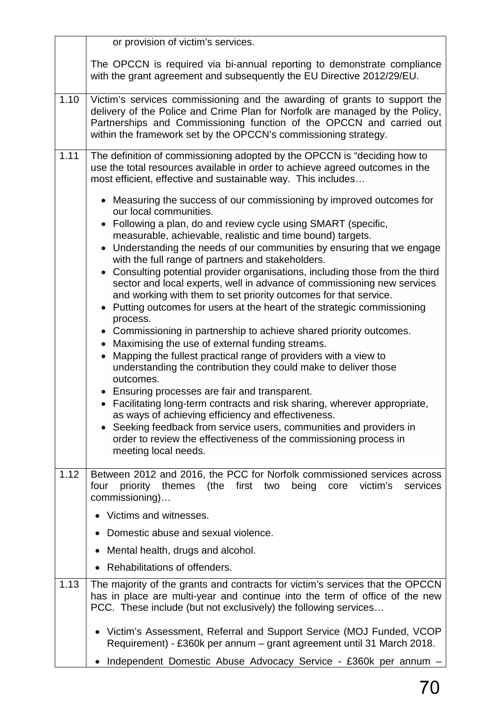|      | or provision of victim's services.                                                                                                                                                                                                                                                                                                                                                                                                                                                                                                                                                                                                                                                                                                                                                                                                                                                                                                                                                                                                                                                                                                                                                                                                                                                                                               |
|------|----------------------------------------------------------------------------------------------------------------------------------------------------------------------------------------------------------------------------------------------------------------------------------------------------------------------------------------------------------------------------------------------------------------------------------------------------------------------------------------------------------------------------------------------------------------------------------------------------------------------------------------------------------------------------------------------------------------------------------------------------------------------------------------------------------------------------------------------------------------------------------------------------------------------------------------------------------------------------------------------------------------------------------------------------------------------------------------------------------------------------------------------------------------------------------------------------------------------------------------------------------------------------------------------------------------------------------|
|      | The OPCCN is required via bi-annual reporting to demonstrate compliance<br>with the grant agreement and subsequently the EU Directive 2012/29/EU.                                                                                                                                                                                                                                                                                                                                                                                                                                                                                                                                                                                                                                                                                                                                                                                                                                                                                                                                                                                                                                                                                                                                                                                |
| 1.10 | Victim's services commissioning and the awarding of grants to support the<br>delivery of the Police and Crime Plan for Norfolk are managed by the Policy,<br>Partnerships and Commissioning function of the OPCCN and carried out<br>within the framework set by the OPCCN's commissioning strategy.                                                                                                                                                                                                                                                                                                                                                                                                                                                                                                                                                                                                                                                                                                                                                                                                                                                                                                                                                                                                                             |
| 1.11 | The definition of commissioning adopted by the OPCCN is "deciding how to<br>use the total resources available in order to achieve agreed outcomes in the<br>most efficient, effective and sustainable way. This includes                                                                                                                                                                                                                                                                                                                                                                                                                                                                                                                                                                                                                                                                                                                                                                                                                                                                                                                                                                                                                                                                                                         |
|      | • Measuring the success of our commissioning by improved outcomes for<br>our local communities.<br>• Following a plan, do and review cycle using SMART (specific,<br>measurable, achievable, realistic and time bound) targets.<br>• Understanding the needs of our communities by ensuring that we engage<br>with the full range of partners and stakeholders.<br>• Consulting potential provider organisations, including those from the third<br>sector and local experts, well in advance of commissioning new services<br>and working with them to set priority outcomes for that service.<br>• Putting outcomes for users at the heart of the strategic commissioning<br>process.<br>• Commissioning in partnership to achieve shared priority outcomes.<br>• Maximising the use of external funding streams.<br>Mapping the fullest practical range of providers with a view to<br>understanding the contribution they could make to deliver those<br>outcomes.<br>• Ensuring processes are fair and transparent.<br>• Facilitating long-term contracts and risk sharing, wherever appropriate,<br>as ways of achieving efficiency and effectiveness.<br>• Seeking feedback from service users, communities and providers in<br>order to review the effectiveness of the commissioning process in<br>meeting local needs. |
| 1.12 | Between 2012 and 2016, the PCC for Norfolk commissioned services across<br>first<br>four<br>priority<br>themes (the<br>two<br>being<br>victim's<br>core<br>services<br>commissioning)<br>Victims and witnesses.<br>Domestic abuse and sexual violence.<br>Mental health, drugs and alcohol.                                                                                                                                                                                                                                                                                                                                                                                                                                                                                                                                                                                                                                                                                                                                                                                                                                                                                                                                                                                                                                      |
|      | Rehabilitations of offenders.                                                                                                                                                                                                                                                                                                                                                                                                                                                                                                                                                                                                                                                                                                                                                                                                                                                                                                                                                                                                                                                                                                                                                                                                                                                                                                    |
| 1.13 | The majority of the grants and contracts for victim's services that the OPCCN<br>has in place are multi-year and continue into the term of office of the new<br>PCC. These include (but not exclusively) the following services                                                                                                                                                                                                                                                                                                                                                                                                                                                                                                                                                                                                                                                                                                                                                                                                                                                                                                                                                                                                                                                                                                  |
|      | Victim's Assessment, Referral and Support Service (MOJ Funded, VCOP<br>Requirement) - £360k per annum – grant agreement until 31 March 2018.                                                                                                                                                                                                                                                                                                                                                                                                                                                                                                                                                                                                                                                                                                                                                                                                                                                                                                                                                                                                                                                                                                                                                                                     |
|      | Independent Domestic Abuse Advocacy Service - £360k per annum -                                                                                                                                                                                                                                                                                                                                                                                                                                                                                                                                                                                                                                                                                                                                                                                                                                                                                                                                                                                                                                                                                                                                                                                                                                                                  |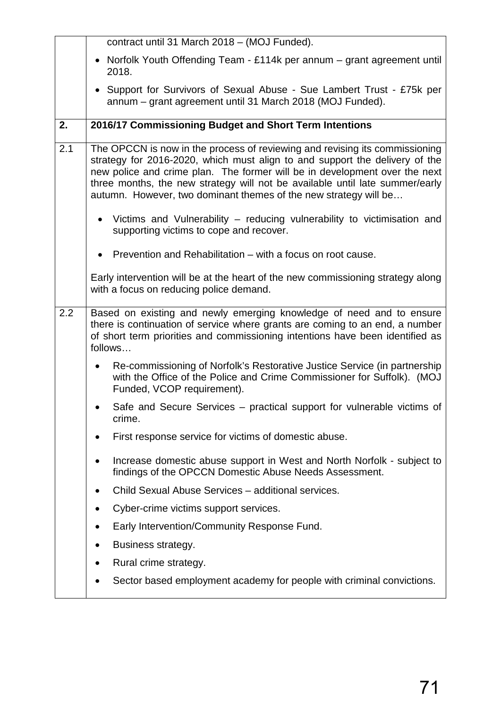|     | contract until 31 March 2018 - (MOJ Funded).                                                                                                                                                                                                                                                                                                                                                 |
|-----|----------------------------------------------------------------------------------------------------------------------------------------------------------------------------------------------------------------------------------------------------------------------------------------------------------------------------------------------------------------------------------------------|
|     | • Norfolk Youth Offending Team - £114k per annum – grant agreement until<br>2018.                                                                                                                                                                                                                                                                                                            |
|     | • Support for Survivors of Sexual Abuse - Sue Lambert Trust - £75k per<br>annum - grant agreement until 31 March 2018 (MOJ Funded).                                                                                                                                                                                                                                                          |
| 2.  | 2016/17 Commissioning Budget and Short Term Intentions                                                                                                                                                                                                                                                                                                                                       |
| 2.1 | The OPCCN is now in the process of reviewing and revising its commissioning<br>strategy for 2016-2020, which must align to and support the delivery of the<br>new police and crime plan. The former will be in development over the next<br>three months, the new strategy will not be available until late summer/early<br>autumn. However, two dominant themes of the new strategy will be |
|     | • Victims and Vulnerability – reducing vulnerability to victimisation and<br>supporting victims to cope and recover.                                                                                                                                                                                                                                                                         |
|     | • Prevention and Rehabilitation – with a focus on root cause.                                                                                                                                                                                                                                                                                                                                |
|     | Early intervention will be at the heart of the new commissioning strategy along<br>with a focus on reducing police demand.                                                                                                                                                                                                                                                                   |
| 2.2 | Based on existing and newly emerging knowledge of need and to ensure<br>there is continuation of service where grants are coming to an end, a number<br>of short term priorities and commissioning intentions have been identified as<br>follows                                                                                                                                             |
|     | Re-commissioning of Norfolk's Restorative Justice Service (in partnership<br>$\bullet$<br>with the Office of the Police and Crime Commissioner for Suffolk). (MOJ<br>Funded, VCOP requirement).                                                                                                                                                                                              |
|     | Safe and Secure Services – practical support for vulnerable victims of<br>crime.                                                                                                                                                                                                                                                                                                             |
|     | First response service for victims of domestic abuse.                                                                                                                                                                                                                                                                                                                                        |
|     | Increase domestic abuse support in West and North Norfolk - subject to<br>findings of the OPCCN Domestic Abuse Needs Assessment.                                                                                                                                                                                                                                                             |
|     | Child Sexual Abuse Services - additional services.                                                                                                                                                                                                                                                                                                                                           |
|     | Cyber-crime victims support services.                                                                                                                                                                                                                                                                                                                                                        |
|     | Early Intervention/Community Response Fund.                                                                                                                                                                                                                                                                                                                                                  |
|     | Business strategy.                                                                                                                                                                                                                                                                                                                                                                           |
|     | Rural crime strategy.                                                                                                                                                                                                                                                                                                                                                                        |
|     | Sector based employment academy for people with criminal convictions.                                                                                                                                                                                                                                                                                                                        |